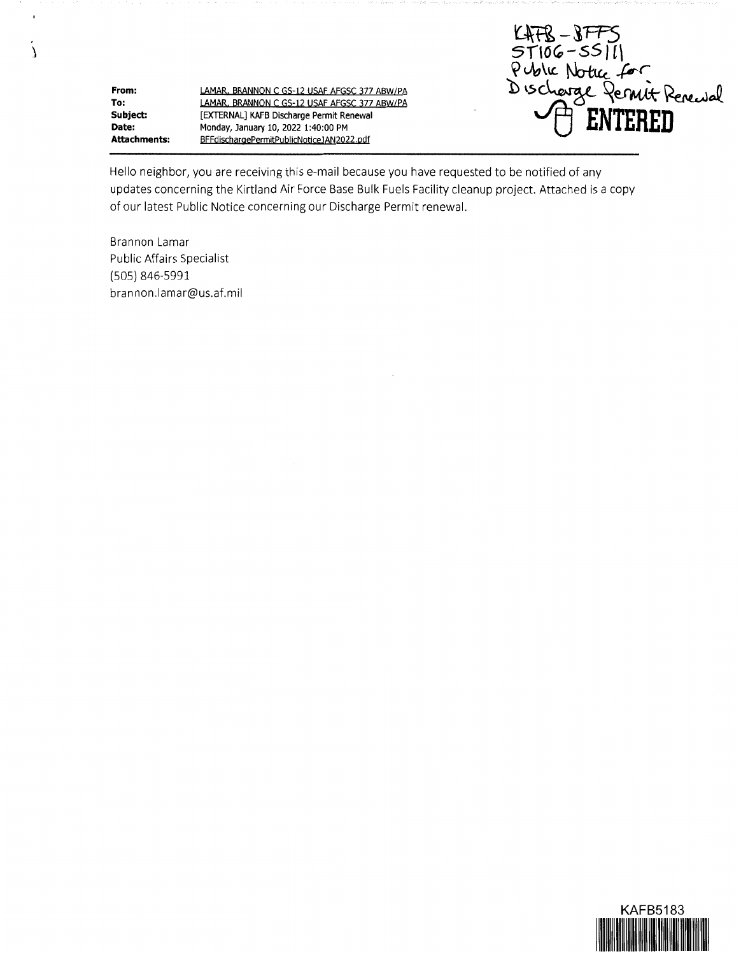**Attachments: LAMAR BRANNON C GS-12 USAF AFGSC 377 ABW/PA LAMAR. BRANNON C GS-12 USAF AFGSC 377 ABW/PA [EXTERNAL] KAFB Discharge Permit Renewal Monday, January 10, 2022 1:40:00 PM BFFdischargePermitPublicNoticeJAN2022.pdf** 

LATR ST106-SSIII<br>Public Notice for<br>Discharge Permit Renewal<br>Discharge Permit Renewal

Hello neighbor, you are receiving this e-mail because you have requested to be notified of any updates concerning the Kirtland Air Force Base Bulk Fuels Facility cleanup project. Attached is a copy of our latest Public Notice concerning our Discharge Permit renewal.

Brannon Lamar Public Affairs Specialist (505) 846-5991 brannon.lamar@us.af.mil

**From: To: Subject: Date:** 

À